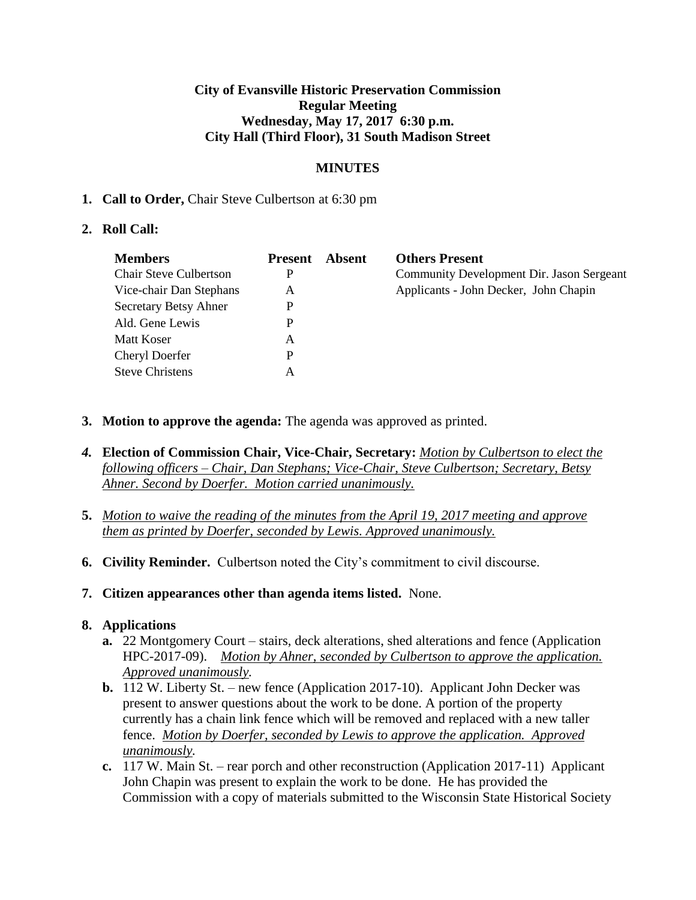### **City of Evansville Historic Preservation Commission Regular Meeting Wednesday, May 17, 2017 6:30 p.m. City Hall (Third Floor), 31 South Madison Street**

# **MINUTES**

### **1. Call to Order,** Chair Steve Culbertson at 6:30 pm

### **2. Roll Call:**

| <b>Members</b>                | <b>Present</b> | Absent | <b>Others Present</b>                     |
|-------------------------------|----------------|--------|-------------------------------------------|
| <b>Chair Steve Culbertson</b> | P              |        | Community Development Dir. Jason Sergeant |
| Vice-chair Dan Stephans       | A              |        | Applicants - John Decker, John Chapin     |
| Secretary Betsy Ahner         | P              |        |                                           |
| Ald. Gene Lewis               | P              |        |                                           |
| Matt Koser                    | A              |        |                                           |
| <b>Cheryl Doerfer</b>         | P              |        |                                           |
| <b>Steve Christens</b>        | А              |        |                                           |

- **3. Motion to approve the agenda:** The agenda was approved as printed.
- *4.* **Election of Commission Chair, Vice-Chair, Secretary:** *Motion by Culbertson to elect the following officers – Chair, Dan Stephans; Vice-Chair, Steve Culbertson; Secretary, Betsy Ahner. Second by Doerfer. Motion carried unanimously.*
- **5.** *Motion to waive the reading of the minutes from the April 19, 2017 meeting and approve them as printed by Doerfer, seconded by Lewis. Approved unanimously.*
- **6. Civility Reminder.** Culbertson noted the City's commitment to civil discourse.
- **7. Citizen appearances other than agenda items listed.** None.

# **8. Applications**

- **a.** 22 Montgomery Court stairs, deck alterations, shed alterations and fence (Application HPC-2017-09). *Motion by Ahner, seconded by Culbertson to approve the application. Approved unanimously.*
- **b.** 112 W. Liberty St. new fence (Application 2017-10). Applicant John Decker was present to answer questions about the work to be done. A portion of the property currently has a chain link fence which will be removed and replaced with a new taller fence. *Motion by Doerfer, seconded by Lewis to approve the application. Approved unanimously.*
- **c.** 117 W. Main St. rear porch and other reconstruction (Application 2017-11) Applicant John Chapin was present to explain the work to be done. He has provided the Commission with a copy of materials submitted to the Wisconsin State Historical Society